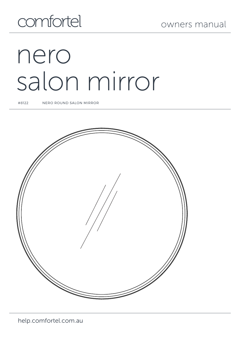## comfortel

# nero salon mirror

#8122 NERO ROUND SALON MIRROR

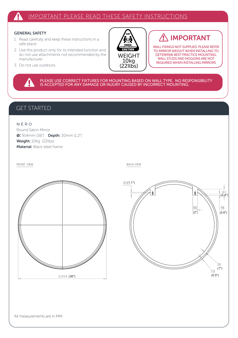## IMPORTANT PLEASE READ THESE SAFETY INSTRUCTIONS

## GENERAL SAFETY

Δ

- 1. Read carefully and keep these instructions in a safe place.
- 2. Use this product only for its intended function and do not use attachments not recommended by the manufacturer.
- 3. Do not use outdoors.



## IMPORTANT Æ

WALL FIXINGS NOT SUPPLIED. PLEASE REFER TO MIRROR WEIGHT WHEN INSTALLING TO DETERMINE BEST PRACTICE MOUNTING. WALL STUDS AND NOGGINS ARE NOT REQUIRED WHEN INSTALLING MIRRORS

PLEASE USE CORRECT FIXTURES FOR MOUNTING BASED ON WALL TYPE. NO RESPONSIBILITY<br>IS ACCEPTED FOR ANY DAMAGE OR INJURY CAUSED BY INCORRECT MOUNTING.

## GET STARTED

N E R O Round Salon Mirror ø: 914mm (36") Depth: 30mm (1.2") Weight: 10Kg (22Ilbs) Material: Black steel frame

FRONT VIEW BACK VIEW BACK VIEW

 $\emptyset$ 914 (36")

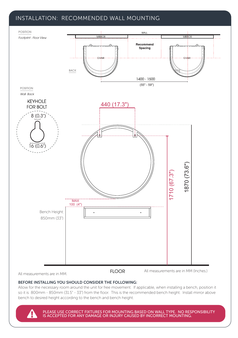## INSTALLATION: RECOMMENDED WALL MOUNTING



All measurements are in MM.

**FLOOR** 

All measurements are in MM (Inches.)

## BEFORE INSTALLING YOU SHOULD CONSIDER THE FOLLOWING:

Allow for the necessary room around the unit for free movement. If applicable, when installing a bench, position it so it is 800mm - 850mm (31.5" - 33") from the floor. This is the recommended bench height. Install mirror above bench to desired height according to the bench and bench height.

PLEASE USE CORRECT FIXTURES FOR MOUNTING BASED ON WALL TYPE. NO RESPONSIBILITY IS ACCEPTED FOR ANY DAMAGE OR INJURY CAUSED BY INCORRECT MOUNTING.